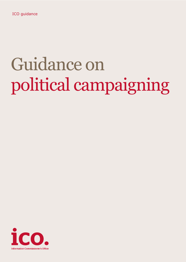# Guidance on political campaigning

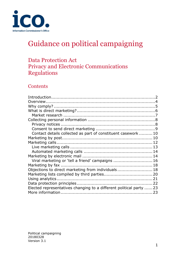

## Guidance on political campaigning

## Data Protection Act Privacy and Electronic Communications Regulations

## **Contents**

| Contact details collected as part of constituent casework 10        |  |
|---------------------------------------------------------------------|--|
|                                                                     |  |
|                                                                     |  |
|                                                                     |  |
|                                                                     |  |
|                                                                     |  |
| Viral marketing or 'tell a friend' campaigns  16                    |  |
|                                                                     |  |
| Objections to direct marketing from individuals 18                  |  |
|                                                                     |  |
|                                                                     |  |
|                                                                     |  |
| Elected representatives changing to a different political party  23 |  |
|                                                                     |  |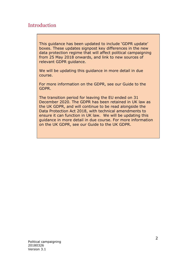## <span id="page-2-0"></span>**Introduction**

This guidance has been updated to include 'GDPR update' boxes. These updates signpost key differences in the new data protection regime that will affect political campaigning from 25 May 2018 onwards, and link to new sources of relevant GDPR guidance.

We will be updating this guidance in more detail in due course.

[For m](https://ico.org.uk/for-organisations/guide-to-the-general-data-protection-regulation-gdpr/)ore information on the GDPR, see our Guide to the GDPR.

The transition period for leaving the EU ended on 31 December 2020. The GDPR has been retained in UK law as the UK GDPR, and will continue to be read alongside the Data Protection Act 2018, with technical amendments to ensure it can function in UK law. We will be updating this guidance in more detail in due course. For more information on the UK GDPR, see our Guide to the UK GDPR.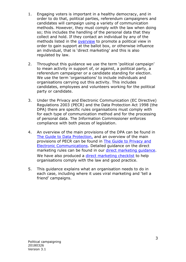- 1. Engaging voters is important in a healthy democracy, and in order to do that, political parties, referendum campaigners and candidates will campaign [using a variety of commun](https://ico.org.uk/media/for-organisations/documents/1551/direct-marketing-checklist.pdf)ication methods. However, they must comply with the law when doing so; this includes the handling of the personal data that they collect and hold. If they contact an individual by any of the methods listed in the overview to promote a political view in order to gain support at the ballot box, or otherwise influence an individual, that is 'direct marketing' and this is also regulated by law.
- 2. Throughout this guidance we use the term 'political campaign' to mean activity in support of, or against, a political party, a referendum campaigner or a candidate standing for election. We use the term 'organisations' to include individuals and organisations carrying out this activity. This includes candidates, employees and volunteers working for the political party or candidate.
- 3. Under the Privacy and Electronic Communication (EC Directive) Regulations 2003 (PECR) and the Data Protection Act 1998 (the DPA) there are specific rules organisations must comply with for each type of communication method and for the processing of personal data. The Information Commissioner enforces compliance with both pieces of legislation.
- 4. An overview of the main provisions of the DPA can be found in The Guide to Data Protection, and an overview of the main provisions of PECR can be found in The Guide to Privacy and Electronic Communications. Detailed guidance on the direct marketing rules can be found in our direct marketing guidance. We have also produced a direct marketing checklist to help organisations comply with the law and good practice.
- 5. This guidance explains what an organisation needs to do in each case, including where it uses viral marketing and 'tell a friend' campaigns.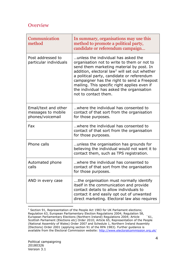## <span id="page-4-0"></span>**Overview**

| Communication<br>method                                        | In summary, organisations may use this<br>method to promote a political party,<br>candidate or referendum campaign                                                                                                                                                                                                                                                                                            |
|----------------------------------------------------------------|---------------------------------------------------------------------------------------------------------------------------------------------------------------------------------------------------------------------------------------------------------------------------------------------------------------------------------------------------------------------------------------------------------------|
| Post addressed to<br>particular individuals                    | unless the individual has asked the<br>organisation not to write to them or not to<br>send them marketing material by post. In<br>addition, electoral law <sup>1</sup> will set out whether<br>a political party, candidate or referendum<br>campaigner has the right to send a Freepost<br>mailing. This specific right applies even if<br>the individual has asked the organisation<br>not to contact them. |
| Email/text and other<br>messages to mobile<br>phones/voicemail | where the individual has consented to<br>contact of that sort from the organisation<br>for those purposes.                                                                                                                                                                                                                                                                                                    |
| Fax                                                            | where the individual has consented to<br>contact of that sort from the organisation<br>for those purposes.                                                                                                                                                                                                                                                                                                    |
| Phone calls                                                    | unless the organisation has grounds for<br>believing the individual would not want it to<br>contact them, such as TPS registration.                                                                                                                                                                                                                                                                           |
| Automated phone<br>calls                                       | where the individual has consented to<br>contact of that sort from the organisation<br>for those purposes.                                                                                                                                                                                                                                                                                                    |
| AND in every case                                              | the organisation must normally identify<br>itself in the communication and provide<br>contact details to allow individuals to<br>contact it and easily opt out of unwanted<br>direct marketing. Electoral law also requires                                                                                                                                                                                   |

 $\overline{a}$  $1$  Section 91, Representation of the People Act 1983 for UK Parliament elections; Regulation 63, European Parliamentary Election Regulations 2004; Regulation 58, European Parliamentary Elections (Northern Ireland) Regulations 2004; Article \61, Scottish Parliament (Elections etc) Order 2010; Article 65, Representation of the People (National Assembly of Wales) Order 2007 and Schedule 1, Northern Ireland Assembly (Elections) Order 2001 (applying section 91 of the RPA 1983). Further guidance is available from the Electoral Commission website:<http://www.electoralcommission.org.uk/>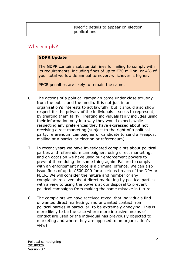|  | specific details to appear on election<br>publications. |
|--|---------------------------------------------------------|
|  |                                                         |

## <span id="page-5-0"></span>Why comply?

#### **GDPR Update**

The GDPR contains substantial fines for failing to comply with its requirements, including fines of up to €20 million, or 4% of your total worldwide annual turnover, whichever is higher.

PECR penalties are likely to remain the same.

- 6. The actions of a political campaign come under close scrutiny from the public and the media. It is not just in an organisation's interests to act lawfully, but it should also show respect for the privacy of the individuals it seeks to represent, by treating them fairly. Treating individuals fairly includes using their information only in a way they would expect, while respecting any preferences they have expressed about not receiving direct marketing (subject to the right of a political party, referendum campaigner or candidate to send a Freepost mailing at a particular election or referendum).
- 7. In recent years we have investigated complaints about political parties and referendum campaigners using direct marketing, and on occasion we have used our enforcement powers to prevent them doing the same thing again. Failure to comply with an enforcement notice is a criminal offence. We can also issue fines of up to £500,000 for a serious breach of the DPA or PECR. We will consider the nature and number of any complaints received about direct marketing by political parties with a view to using the powers at our disposal to prevent political campaigns from making the same mistake in future.
- 8. The complaints we have received reveal that individuals find unwanted direct marketing, and unwanted contact from political parties in particular, to be extremely annoying. This is more likely to be the case where more intrusive means of contact are used or the individual has previously objected to marketing and where they are opposed to an organisation's views.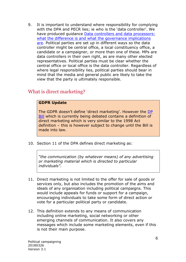9. It is important to understand where responsibility for complying with the DPA and PECR lies; ie who is the 'data controller'. We have produced quidance Data controllers and data processors: [what the difference is and what the governance implications](https://ico.org.uk/media/for-organisations/documents/1546/data-controllers-and-data-processors-dp-guidance.pdf)  [are.](https://ico.org.uk/media/for-organisations/documents/1546/data-controllers-and-data-processors-dp-guidance.pdf) Political parties are set up in different ways so the data controller might be central office, a local constituency office, a candidate or a campaigner, or more than one of these. MPs are data controllers in their own right, as are many other elected representatives. Political parties must be clear whether the central office or local office is the data controller. Regardless of where legal responsibility lies, political parties should bear in mind that the media and general public are likely to take the view that the party is ultimately responsible.

## <span id="page-6-0"></span>What is direct marketing?

#### **GDPR Update**

The GDPR doesn't define 'direct marketing'. However the [DP](https://services.parliament.uk/bills/2017-19/dataprotection.html)  [Bill](https://services.parliament.uk/bills/2017-19/dataprotection.html) which is currently being debated contains a definition of direct marketing which is very similar to the 1998 Act definition – this is however subject to change until the Bill is made into law.

10. Section 11 of the DPA defines direct marketing as:

*"the communication (by whatever means) of any advertising or marketing material which is directed to particular individuals".*

- 11. Direct marketing is not limited to the offer for sale of goods or services only, but also includes the promotion of the aims and ideals of any organisation including political campaigns. This would include appeals for funds or support for a campaign, encouraging individuals to take some form of direct action or vote for a particular political party or candidate.
- 12. This definition extends to any means of communication including online marketing, social networking or other emerging channels of communication. It also covers any messages which include some marketing elements, even if this is not their main purpose.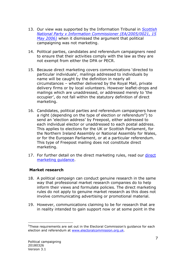- 13. Our view was supported by the Information Tribunal in *[Scottish](http://www.informationtribunal.gov.uk/Public/search.aspx)  [National Party v Information Commissioner \(EA/2005/0021, 15](http://www.informationtribunal.gov.uk/Public/search.aspx)  [May 2006\)](http://www.informationtribunal.gov.uk/Public/search.aspx)* when it dismissed the argument that political campaigning was not marketing.
- 14. Political parties, candidates and referendum campaigners need to ensure that their activities comply with the law as they are not exempt from either the DPA or PECR.
- 15. Because direct marketing covers communications 'directed to particular individuals', mailings addressed to individuals by name will be caught by the definition in nearly all circumstances – whether delivered by the Royal Mail, private delivery firms or by local volunteers. However leaflet-drops and mailings which are unaddressed, or addressed merely to 'the occupier', do not fall within the statutory definition of direct marketing.
- 16. Candidates, political parties and referendum campaigners have a right (depending on the type of election or referendum<sup>2</sup>) to send an 'election address' by Freepost, either addressed to each individual elector or unaddressed to each postal address. This applies to elections for the UK or Scottish Parliament, for the Northern Ireland Assembly or National Assembly for Wales, or for the European Parliament, or at a particular referendum. This type of Freepost mailing does not constitute direct marketing.
- 17. For further detail on the direct marketing rules, read our [direct](https://ico.org.uk/media/for-organisations/documents/1555/direct-marketing-guidance.pdf)  [marketing guidance.](https://ico.org.uk/media/for-organisations/documents/1555/direct-marketing-guidance.pdf)

#### <span id="page-7-0"></span>**Market research**

- 18. A political campaign can conduct genuine research in the same way that professional market research companies do to help inform their views and formulate policies. The direct marketing rules do not apply to genuine market research as this does not involve communicating advertising or promotional material.
- 19. However, communications claiming to be for research that are in reality intended to gain support now or at some point in the

 $\overline{a}$ 

 $2$ These requirements are set out in the Electoral Commission's quidance for each election and referendum at [www.electoralcommission.org.uk.](http://www.electoralcommission.org.uk/)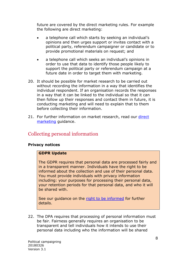future are covered by the direct marketing rules. For example the following are direct marketing:

- a telephone call which starts by seeking an individual's opinions and then urges support or invites contact with a political party, referendum campaigner or candidate or to provide promotional materials on request; and
- a telephone call which seeks an individual's opinions in order to use that data to identify those people likely to support the political party or referendum campaign at a future date in order to target them with marketing.
- 20. It should be possible for market research to be carried out without recording the information in a way that identifies the individual respondent. If an organisation records the responses in a way that it can be linked to the individual so that it can then follow up their responses and contact them in future, it is conducting marketing and will need to explain that to them before collecting their information.
- 21. For further information on market research, read our *direct* [marketing](https://ico.org.uk/media/for-organisations/documents/1555/direct-marketing-guidance.pdf) guidance.

## <span id="page-8-0"></span>Collecting personal information

#### <span id="page-8-1"></span>**Privacy notices**

#### **GDPR Update**

The GDPR requires that personal data are processed fairly and in a transparent manner. Individuals have the right to be informed about the collection and use of their personal data. You must provide individuals with privacy information including: your purposes for processing their personal data, your retention periods for that personal data, and who it will be shared with.

See our guidance on the [right to be informed](https://ico.org.uk/for-organisations/guide-to-the-general-data-protection-regulation-gdpr/individual-rights/right-to-be-informed/?q=fine) for further details.

22. The DPA requires that processing of personal information must be fair. Fairness generally requires an organisation to be transparent and tell individuals how it intends to use their personal data including who the information will be shared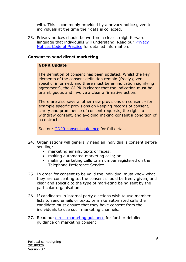with. This is commonly provided by a privacy notice given to individuals at the time their data is collected.

23. Privacy notices should be written in clear straightforward language that individuals will understand. Read our [Privacy](https://ico.org.uk/for-organisations/guide-to-data-protection/privacy-notices-transparency-and-control/)  [Notices Code of Practice](https://ico.org.uk/for-organisations/guide-to-data-protection/privacy-notices-transparency-and-control/) for detailed information.

#### <span id="page-9-0"></span>**Consent to send direct marketing**

#### **GDPR Update**

The definition of consent has been updated. Whilst the key elements of the consent definition remain (freely given, specific, informed, and there must be an indication signifying agreement), the GDPR is clearer that the indication must be unambiguous and involve a clear affirmative action.

There are also several other new provisions on consent - for example specific provisions on keeping records of consent, clarity and prominence of consent requests, the right to withdraw consent, and avoiding making consent a condition of a contract.

See our [GDPR consent guidance](https://ico.org.uk/for-organisations/guide-to-the-general-data-protection-regulation-gdpr/lawful-basis-for-processing/consent/) for full details.

- 24. Organisations will generally need an individual's consent before sending:
	- marketing emails, texts or faxes;
	- making automated marketing calls; or
	- making marketing calls to a number registered on the Telephone Preference Service.
- 25. In order for consent to be valid the individual must know what they are consenting to, the consent should be freely given, and clear and specific to the type of marketing being sent by the particular organisation.
- 26. If candidates in internal party elections wish to use member lists to send emails or texts, or make automated calls the candidate must ensure that they have consent from the individuals to use such marketing channels.
- 27. Read our [direct marketing guidance](https://ico.org.uk/media/for-organisations/documents/1555/direct-marketing-guidance.pdf) for further detailed guidance on marketing consent.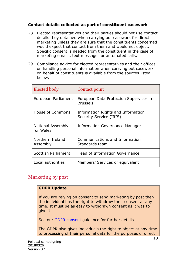#### <span id="page-10-0"></span>**Contact details collected as part of constituent casework**

- 28. Elected representatives and their parties should not use contact details they obtained when carrying out casework for direct marketing unless they are sure that the constituents concerned would expect that contact from them and would not object. Specific consent is needed from the constituent in the case of marketing emails, text messages or automated calls.
- 29. Compliance advice for elected representatives and their offices on handling personal information when carrying out casework on behalf of constituents is available from the sources listed below.

| Elected body                   | Contact point                                                 |
|--------------------------------|---------------------------------------------------------------|
| European Parliament            | European Data Protection Supervisor in<br><b>Brussels</b>     |
| House of Commons               | Information Rights and Information<br>Security Service (IRIS) |
| National Assembly<br>for Wales | <b>Information Governance Manager</b>                         |
| Northern Ireland<br>Assembly   | Communications and Information<br>Standards team              |
| Scottish Parliament            | <b>Head of Information Governance</b>                         |
| Local authorities              | Members' Services or equivalent                               |

## <span id="page-10-1"></span>Marketing by post

#### **GDPR Update**

If you are relying on consent to send marketing by post then the individual has the right to withdraw their consent at any time. It must be as easy to withdrawn consent as it was to give it.

See our [GDPR consent](https://ico.org.uk/for-organisations/guide-to-the-general-data-protection-regulation-gdpr/lawful-basis-for-processing/consent/) guidance for further details.

The GDPR also gives individuals the right to object at any time to processing of their personal data for the purposes of direct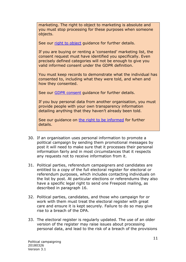marketing. The right to object to marketing is absolute and you must stop processing for these purposes when someone objects.

See our [right to object](https://ico.org.uk/for-organisations/guide-to-the-general-data-protection-regulation-gdpr/individual-rights/right-to-object/) guidance for further details.

If you are buying or renting a 'consented' marketing list, the consent request must have identified you specifically. Even precisely defined categories will not be enough to give you valid informed consent under the GDPR definition.

You must keep records to demonstrate what the individual has consented to, including what they were told, and when and how they consented.

See our [GDPR consent](https://ico.org.uk/for-organisations/guide-to-the-general-data-protection-regulation-gdpr/lawful-basis-for-processing/consent/) guidance for further details.

If you buy personal data from another organisation, you must provide people with your own transparency information detailing anything that they haven't already been told.

See our guidance on [the right to be informed](https://ico.org.uk/for-organisations/guide-to-the-general-data-protection-regulation-gdpr/individual-rights/right-to-be-informed/) for further details.

- 30. If an organisation uses personal information to promote a political campaign by sending them promotional messages by post it will need to make sure that it processes their personal information fairly and in most circumstances that it respects any requests not to receive information from it.
- 31. Political parties, referendum campaigners and candidates are entitled to a copy of the full electoral register for electoral or referendum purposes, which includes contacting individuals on the list by post. At particular elections or referendums they also have a specific legal right to send one Freepost mailing, as described in paragraph 16.
- 32. Political parties, candidates, and those who campaign for or work with them must treat the electoral register with great care and ensure it is kept securely. Failure to do so may give rise to a breach of the DPA.
- 33. The electoral register is regularly updated. The use of an older version of the register may raise issues about processing personal data, and lead to the risk of a breach of the provisions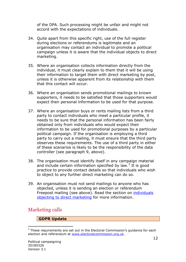of the DPA. Such processing might be unfair and might not accord with the expectations of individuals.

- 34. Quite apart from this specific right, use of the full register during elections or referendums is legitimate and an organisation may contact an individual to promote a political campaign unless it is aware that the individual [objects to direct](#page-10-1)  [marketing.](#page-10-1)
- 35. Where an organisation collects information directly from the individual, it must clearly explain to them that it will be using their information to target them with direct marketing by post, unless it is otherwise apparent from its relationship with them that this contact will occur.
- 36. Where an organisation sends promotional mailings to known supporters, it needs to be satisfied that those supporters would expect their personal information to be used for that purpose.
- 37. Where an organisation buys or rents mailing lists from a third party to contact individuals who meet a particular profile, it needs to be sure that the personal information has been fairly obtained only from individuals who would expect their information to be used for promotional purposes by a particular political campaign. If the organisation is employing a third party to carry out a mailing, it must ensure that the third party observes these requirements. The use of a third party in either of these scenarios is likely to be the responsibility of the data controller (see paragraph 9, above).
- 38. The organisation must identify itself in any campaign material and include certain information specified by law. $3$  It is good practice to provide contact details so that individuals who wish to object to any further direct marketing can do so.
- 39. An organisation must not send mailings to anyone who has objected, unless it is sending an election or referendum Freepost mailing (see above). Read the section on [individuals](#page-18-1)  [objecting to direct marketing](#page-18-1) for more information.

## <span id="page-12-0"></span>Marketing calls

#### **GDPR Update**

 $\overline{a}$  $3$  These requirements are set out in the Electoral Commission's guidance for each election and referendum at [www.electoralcommission.org.uk.](http://www.electoralcommission.org.uk/)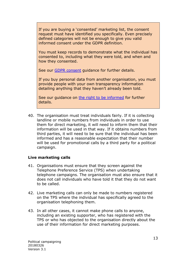If you are buying a 'consented' marketing list, the consent request must have identified you specifically. Even precisely defined categories will not be enough to give you valid informed consent under the GDPR definition.

You must keep records to demonstrate what the individual has consented to, including what they were told, and when and how they consented.

See our [GDPR consent](https://ico.org.uk/for-organisations/guide-to-the-general-data-protection-regulation-gdpr/lawful-basis-for-processing/consent/) guidance for further details.

If you buy personal data from another organisation, you must provide people with your own transparency information detailing anything that they haven't already been told.

See our guidance on [the right to be informed](https://ico.org.uk/for-organisations/guide-to-the-general-data-protection-regulation-gdpr/individual-rights/right-to-be-informed/) for further details.

40. The organisation must treat individuals fairly. If it is collecting landline or mobile numbers from individuals in order to use them for direct marketing, it will need to inform them that their information will be used in that way. If it obtains numbers from third parties, it will need to be sure that the individual has been informed and has a reasonable expectation that their number will be used for promotional calls by a third party for a political campaign.

#### <span id="page-13-0"></span>**Live marketing calls**

- 41. Organisations must ensure that they screen against the Telephone Preference Service (TPS) when undertaking telephone campaigns. The organisation must also ensure that it does not call individuals who have told it that they do not want to be called.
- 42. Live marketing calls can only be made to numbers registered on the TPS where the individual has specifically agreed to the organisation telephoning them.
- 43. In all other cases, it cannot make phone calls to anyone, including an existing supporter, who has registered with the TPS or who has objected to the organisation directly about the use of their information for direct marketing purposes.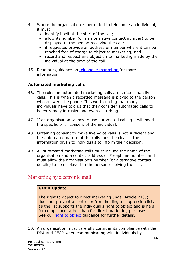- 44. Where the organisation is permitted to telephone an individual, it must:
	- identify itself at the start of the call;
	- allow its number (or an alternative contact number) to be displayed to the person receiving the call;
	- if requested provide an address or number where it can be reached free of charge to object to marketing; and
	- record and respect any objection to marketing made by the individual at the time of the call.
- 45. Read our guidance on [telephone marketing](https://ico.org.uk/for-organisations/guide-to-pecr/electronic-and-telephone-marketing/telephone-marketing/) for more information.

#### <span id="page-14-0"></span>**Automated marketing calls**

- 46. The rules on automated marketing calls are stricter than live calls. This is when a recorded message is played to the person who answers the phone. It is worth noting that many individuals have told us that they consider automated calls to be extremely intrusive and even disturbing.
- 47. If an organisation wishes to use automated calling it will need the specific prior consent of the individual.
- 48. Obtaining consent to make live voice calls is not sufficient and the automated nature of the calls must be clear in the information given to individuals to inform their decision.
- 49. All automated marketing calls must include the name of the organisation and a contact address or Freephone number, and must allow the organisation's number (or alternative contact details) to be displayed to the person receiving the call.

## <span id="page-14-1"></span>Marketing by electronic mail

#### **GDPR Update**

The right to object to direct marketing under Article 21(3) does not prevent a controller from holding a suppression list, as the list supports the individual's right to object and is held for compliance rather than for direct marketing purposes. See our [right to object](https://ico.org.uk/for-organisations/guide-to-the-general-data-protection-regulation-gdpr/individual-rights/right-to-object/) guidance for further details.

50. An organisation must carefully consider its compliance with the DPA and PECR when communicating with individuals by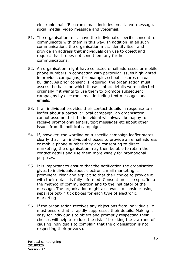electronic mail. 'Electronic mail' includes email, text message, social media, video message and voicemail.

- 51. The organisation must have the individual's specific consent to communicate with them in this way. In addition, in all such communications the organisation must identify itself and provide an address that individuals can use to object and request that it does not send them any further communications.
- 52. An organisation might have collected email addresses or mobile phone numbers in connection with particular issues highlighted in previous campaigns; for example, school closures or road building. As prior consent is required, the organisation must assess the basis on which those contact details were collected originally if it wants to use them to promote subsequent campaigns by electronic mail including text messages and emails.
- 53. If an individual provides their contact details in response to a leaflet about a particular local campaign, an organisation cannot assume that the individual will always be happy to receive promotional emails, text messages etc about other issues from its political campaign.
- 54. If, however, the wording on a specific campaign leaflet states clearly that if an individual chooses to provide an email address or mobile phone number they are consenting to direct marketing, the organisation may then be able to retain their contact details and use them more widely for promotional purposes.
- 55. It is important to ensure that the notification the organisation gives to individuals about electronic mail marketing is prominent, clear and explicit so that their choice to provide it with their details is fully informed. Consent must be specific to the method of communication and to the instigator of the message. The organisation might also want to consider using separate opt-in tick boxes for each type of electronic marketing.
- 56. If the organisation receives any objections from individuals, it must ensure that it rapidly suppresses their details. Making it easy for individuals to object and promptly respecting their choices will help to reduce the risk of breaking the law (and of causing individuals to complain that the organisation is not respecting their privacy).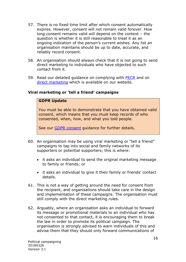- 57. There is no fixed time limit after which consent automatically expires. However, consent will not remain valid forever. How long consent remains valid will depend on the context – the question is whether it is still reasonable to treat it as an ongoing indication of the person's current wishes. Any list an organisation maintains should be up to date, accurate, and reliably record consent.
- 58. An organisation should always check that it is not going to send direct marketing to individuals who have objected to such contact from it.
- 59. Read our detailed quidance on complying with [PECR](https://ico.org.uk/for-organisations/guide-to-pecr/) and on [direct marketing](http://ico.org.uk/for_organisations/guidance_index/~/media/documents/library/Privacy_and_electronic/Practical_application/direct-marketing-guidance.pdf) which is available on our website.

#### <span id="page-16-0"></span>**Viral marketing or 'tell a friend' campaigns**

#### **GDPR Update**

You must be able to demonstrate that you have obtained valid consent, which means that you must keep records of who consented, when, how, and what you told people.

See our [GDPR consent](https://ico.org.uk/for-organisations/guide-to-the-general-data-protection-regulation-gdpr/lawful-basis-for-processing/consent/) guidance for further details.

- 60. An organisation may be using viral marketing or "tell a friend" campaigns to tap into social and family networks of its supporters or potential supporters; this is where:
	- it asks an individual to send the original marketing message to family or friends; or
	- it asks an individual to give it their family or friends' contact details.
- 61. This is not a way of getting around the need for consent from the recipient, and organisations should take care in the design and implementation of these campaigns. The organisation must still comply with the direct marketing rules.
- 62. Arguably, where an organisation asks an individual to forward its message or promotional materials to an individual who has not consented to that contact, it is encouraging them to break the law in order to promote its political campaign. The organisation is strongly advised to warn individuals of this and advise them that they should only forward communications of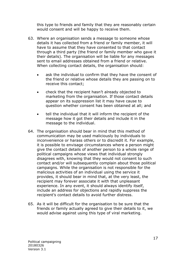this type to friends and family that they are reasonably certain would consent and will be happy to receive them.

- 63. Where an organisation sends a message to someone whose details it has collected from a friend or family member, it will have to assume that they have consented to that contact through a third party (the friend or family member who gave it their details). The organisation will be liable for any messages sent to email addresses obtained from a friend or relative. When collecting contact details, the organisation should:
	- ask the individual to confirm that they have the consent of the friend or relative whose details they are passing on to receive this contact;
	- check that the recipient hasn't already objected to marketing from the organisation. If those contact details appear on its suppression list it may have cause to question whether consent has been obtained at all; and
	- tell the individual that it will inform the recipient of the message how it got their details and include it in the message to the individual.
- 64. The organisation should bear in mind that this method of communication may be used maliciously by individuals to inconvenience or harass others or to discredit it. For example, it is possible to envisage circumstances where a person might give the contact details of another person to a whole range of political campaigns whose views that individual strongly disagrees with, knowing that they would not consent to such contact and/or will subsequently complain about those political campaigns. While the organisation is not responsible for the malicious activities of an individual using the service it provides, it should bear in mind that, at the very least, the recipient may forever associate it with that unpleasant experience. In any event, it should always identify itself, include an address for objections and rapidly suppress the recipient's contact details to avoid further distress.
- 65. As it will be difficult for the organisation to be sure that the friends or family actually agreed to give their details to it, we would advise against using this type of viral marketing.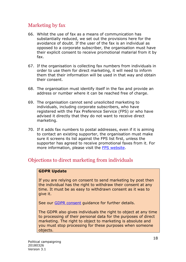## <span id="page-18-0"></span>Marketing by fax

- 66. Whilst the use of fax as a means of communication has substantially reduced, we set out the provisions here for the avoidance of doubt. If the user of the fax is an individual as opposed to a corporate subscriber, the organisation must have their explicit consent to receive promotional material from it by fax.
- 67. If the organisation is collecting fax numbers from individuals in order to use them for direct marketing, it will need to inform them that their information will be used in that way and obtain their consent.
- 68. The organisation must identify itself in the fax and provide an address or number where it can be reached free of charge.
- 69. The organisation cannot send unsolicited marketing to individuals, including corporate subscribers, who have registered with the Fax Preference Service (FPS) or who have advised it directly that they do not want to receive direct marketing.
- 70. If it adds fax numbers to postal addresses, even if it is aiming to contact an existing supporter, the organisation must make sure it screens its list against the FPS list first, unless the supporter has agreed to receive promotional faxes from it. For more information, please visit the [FPS website.](http://www.fpsonline.org.uk/fps/)

## <span id="page-18-1"></span>Objections to direct marketing from individuals

#### **GDPR Update**

If you are relying on consent to send marketing by post then the individual has the right to withdraw their consent at any time. It must be as easy to withdrawn consent as it was to give it.

See our [GDPR consent](https://ico.org.uk/for-organisations/guide-to-the-general-data-protection-regulation-gdpr/lawful-basis-for-processing/consent/) guidance for further details.

The GDPR also gives individuals the right to object at any time to processing of their personal data for the purposes of direct marketing. The right to object to marketing is absolute and you must stop processing for these purposes when someone objects.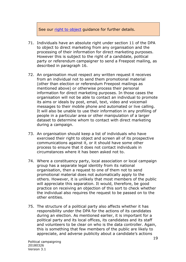#### See our [right to object](https://ico.org.uk/for-organisations/guide-to-the-general-data-protection-regulation-gdpr/individual-rights/right-to-object/) guidance for further details.

- 71. Individuals have an absolute right under section 11 of the DPA to object to direct marketing from any organisation and the processing of their information for direct marketing purposes. However this is subject to the right of a candidate, political party or referendum campaigner to send a Freepost mailing, as described in paragraph 16.
- 72. An organisation must respect any written request it receives from an individual not to send them promotional material (other than election or referendum Freepost mailings as mentioned above) or otherwise process their personal information for direct marketing purposes. In those cases the organisation will not be able to contact an individual to promote its aims or ideals by post, email, text, video and voicemail messages to their mobile phone and automated or live calling. It will also be unable to use their information in any profiling of people in a particular area or other manipulation of a larger dataset to determine whom to contact with direct marketing during a campaign.
- 73. An organisation should keep a list of individuals who have exercised their right to object and screen all of its prospective communications against it, or it should have some other process to ensure that it does not contact individuals in circumstances where it has been asked not to.
- 74. Where a constituency party, local association or local campaign group has a separate legal identity from its national organisation, then a request to one of them not to send promotional material does not automatically apply to the others. However, it is unlikely that most members of the public will appreciate this separation. It would, therefore, be good practice on receiving an objection of this sort to check whether the individual also requires the request to be passed on to the other entities.
- 75. The structure of a political party also affects whether it has responsibility under the DPA for the actions of its candidates during an election. As mentioned earlier, it is important for a political party and its local offices, its candidates and its staff and volunteers to be clear on who is the data controller. Again, this is something that few members of the public are likely to appreciate, and adverse publicity about a candidate's actions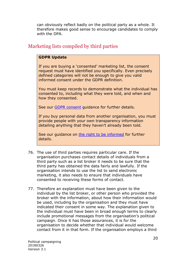can obviously reflect badly on the political party as a whole. It therefore makes good sense to encourage candidates to comply with the DPA.

## <span id="page-20-0"></span>Marketing lists compiled by third parties

#### **GDPR Update**

If you are buying a 'consented' marketing list, the consent request must have identified you specifically. Even precisely defined categories will not be enough to give you valid informed consent under the GDPR definition.

You must keep records to demonstrate what the individual has consented to, including what they were told, and when and how they consented.

See our [GDPR consent](https://ico.org.uk/for-organisations/guide-to-the-general-data-protection-regulation-gdpr/lawful-basis-for-processing/consent/) quidance for further details.

If you buy personal data from another organisation, you must provide people with your own transparency information detailing anything that they haven't already been told.

See our guidance on [the right to be informed](https://ico.org.uk/for-organisations/guide-to-the-general-data-protection-regulation-gdpr/individual-rights/right-to-be-informed/) for further details.

- 76. The use of third parties requires particular care. If the organisation purchases contact details of individuals from a third party such as a list broker it needs to be sure that the third party has obtained the data fairly and lawfully. If the organisation intends to use the list to send electronic marketing, it also needs to ensure that individuals have consented to receiving these forms of contact.
- 77. Therefore an explanation must have been given to the individual by the list broker, or other person who provided the broker with the information, about how their information would be used, including by the organisation and they must have indicated their consent in some way. The explanation given to the individual must have been in broad enough terms to clearly include promotional messages from the organisation's political campaign. Once it has those assurances, it is for the organisation to decide whether that individual would welcome contact from it in that form. If the organisation employs a third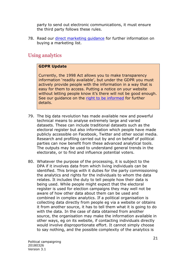party to send out electronic communications, it must ensure the third party follows these rules.

78. Read our [direct marketing guidance](https://ico.org.uk/media/for-organisations/documents/1555/direct-marketing-guidance.pdf) for further information on buying a marketing list.

## <span id="page-21-0"></span>Using analytics

#### **GDPR Update**

Currently, the 1998 Act allows you to make transparency information 'readily available', but under the GDPR you must actively provide people with the information in a way that is easy for them to access. Putting a notice on your website without letting people know it's there will not be good enough. See our guidance on the [right to be informed](https://ico.org.uk/for-organisations/guide-to-the-general-data-protection-regulation-gdpr/individual-rights/right-to-be-informed/?q=fine) for further details.

- 79. The big data revolution has made available new and powerful technical means to analyse extremely large and varied datasets. These can include traditional datasets such as the electoral register but also information which people have made publicly accessible on Facebook, Twitter and other social media. Research and profiling carried out by and on behalf of political parties can now benefit from these advanced analytical tools. The outputs may be used to understand general trends in the electorate, or to find and influence potential voters.
- 80. Whatever the purpose of the processing, it is subject to the DPA if it involves data from which living individuals can be identified. This brings with it duties for the party commissioning the analytics and rights for the individuals to whom the data relates. It includes the duty to tell people how their data is being used. While people might expect that the electoral register is used for election campaigns they may well not be aware of how other data about them can be used and combined in complex analytics. If a political organisation is collecting data directly from people eg via a website or obtains it from another source, it has to tell them what it is going to do with the data. In the case of data obtained from another source, the organisation may make the information available in other ways, eg on its website, if contacting individuals directly would involve disproportionate effort. It cannot simply choose to say nothing, and the possible complexity of the analytics is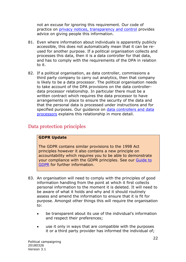not an excuse for ignoring this requirement. Our code of practice on [privacy notices, transparency and control](https://ico.org.uk/for-organisations/guide-to-data-protection/privacy-notices-transparency-and-control/) provides advice on giving people this information.

- 81. Even where information about individuals is apparently publicly accessible, this does not automatically mean that it can be reused for another purpose. If a political organisation collects and processes this data, then it is a data controller for that data, and has to comply with the requirements of the DPA in relation to it.
- 82. If a political organisation, as data controller, commissions a third party company to carry out analytics, then that company is likely to be a data processor. The political organisation needs to take account of the DPA provisions on the data controllerdata processor relationship. In particular there must be a written contract which requires the data processor to have arrangements in place to ensure the security of the data and that the personal data is processed under instructions and for specified purposes. Our quidance on data controllers and data [processors](https://ico.org.uk/media/for-organisations/documents/1546/data-controllers-and-data-processors-dp-guidance.pdf) explains this relationship in more detail.

## <span id="page-22-0"></span>Data protection principles

#### **GDPR Update**

The GDPR contains similar provisions to the 1998 Act principles however it also contains a new principle on accountability which requires you to be able to demonstrate your compliance with the GDPR principles. See our [Guide to](https://ico.org.uk/for-organisations/guide-to-the-general-data-protection-regulation-gdpr/)  [GDPR](https://ico.org.uk/for-organisations/guide-to-the-general-data-protection-regulation-gdpr/) for further information.

- 83. An organisation will need to comply with the principles of good information handling from the point at which it first collects personal information to the moment it is deleted. It will need to be aware of what it holds and why and it should routinely assess and amend the information to ensure that it is fit for purpose. Amongst other things this will require the organisation to:
	- be transparent about its use of the individual's information and respect their preferences;
	- use it only in ways that are compatible with the purposes it or a third party provider has informed the individual of;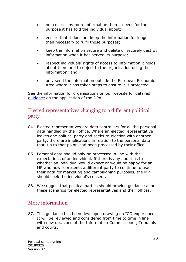- not collect any more information than it needs for the purpose it has told the individual about;
- ensure that it does not keep the information for longer than necessary to fulfil those purposes;
- keep the information secure and delete or securely destroy information when it has served its purpose;
- respect individuals' rights of access to information it holds about them and to object to the organisation using their information; and
- only send the information outside the European Economic Area where it has taken steps to ensure it is protected.

See the information for organisations on our website for detailed [guidance](http://ico.org.uk/for_organisations/guidance_index/data_protection_and_privacy_and_electronic_communications) on the application of the DPA.

## <span id="page-23-0"></span>Elected representatives changing to a different political party

- 84. Elected representatives are data controllers for all the personal data handled by their office. Where an elected representative leaves one political party and seeks re-election with another party, there are implications in relation to the personal data that, up to that point, had been processed by their office.
- 85. Personal data should only be processed in line with the expectations of an individual. If there is any doubt as to whether an individual would expect or would be happy for an MP who now represents a different party to continue to use their data for marketing and campaigning purposes, the MP should seek the individual's consent.
- 86. We suggest that political parties should provide guidance about these scenarios for elected representatives and their offices.

## <span id="page-23-1"></span>More information

87. This guidance has been developed drawing on ICO experience. It will be reviewed and considered from time to time in line with new decisions of the Information Commissioner, Tribunals and courts.